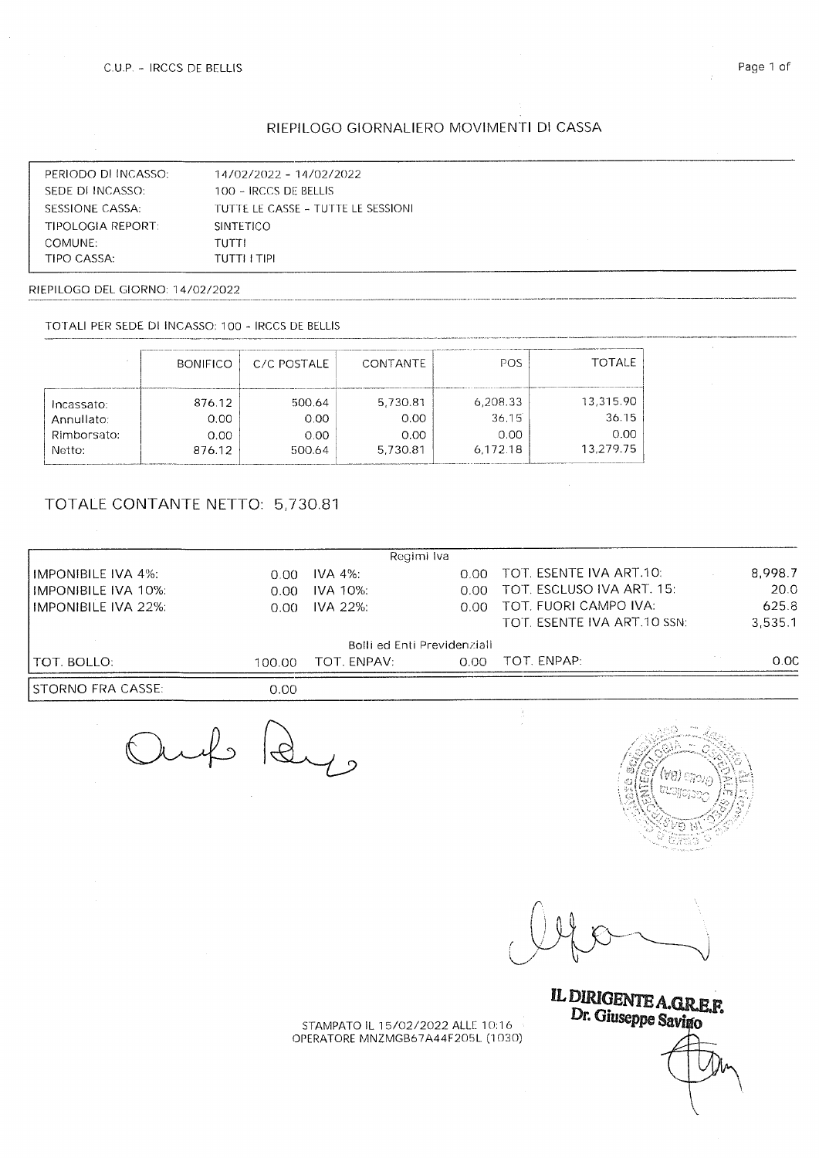## RIEPILOGO GIORNALIERO MOVIMENTI DI CASSA

| PERIODO DI INCASSO: | 14/02/2022 - 14/02/2022            |
|---------------------|------------------------------------|
| SEDE DI INCASSO:    | 100 - IRCCS DE BELLIS              |
| SESSIONE CASSA:     | TUTTE IF CASSE - TUTTE IF SESSIONI |
| TIPOLOGIA REPORT.   | <b>SINTETICO</b>                   |
| COMUNE:             | TUTTI                              |
| TIPO CASSA:         | TUTTI I TIPI                       |

RIEPILOGO DEL GIORNO: 14/02/2022

#### TOTALI PER SEDE DI INCASSO: 100 - IRCCS DE BELLIS

|             | <b>BONIFICO</b> | C/C POSTALE | CONTANTE | POS      | <b>TOTALE</b> |
|-------------|-----------------|-------------|----------|----------|---------------|
| Incassato:  | 876.12          | 500.64      | 5,730.81 | 6,208.33 | 13,315.90     |
| Annullato:  | 0.00            | 0.00        | 0.00     | 36.15    | 36.15         |
| Rimborsato: | 0.00            | 0.00        | 0.00     | 0.00     | 0.00          |
| Netto:      | 876.12          | 500.64      | 5,730.81 | 6.172.18 | 13.279.75     |

## TOTALE CONTANTE NETTO: 5,730.81

|                            |        | Regimi Iva                  |      |                             |         |
|----------------------------|--------|-----------------------------|------|-----------------------------|---------|
| <b>IMPONIBILE IVA 4%:</b>  | 0.00   | IVA 4%.                     | 0.00 | TOT. ESENTE IVA ART.10:     | 8,998.7 |
| <b>IMPONIBILE IVA 10%:</b> | 0.00   | IVA 10%:                    | 0.00 | TOT. ESCLUSO IVA ART. 15:   | 20.0    |
| <b>IMPONIBILE IVA 22%:</b> | 0.00   | IVA 22%:                    | 0.00 | TOT. FUORI CAMPO IVA:       | 625.8   |
|                            |        |                             |      | TOT. ESENTE IVA ART.10 SSN: | 3.535.1 |
|                            |        | Bolli ed Enti Previdenziali |      |                             |         |
| TOT. BOLLO:                | 100.00 | TOT. ENPAV:                 | 0.00 | TOT. ENPAP:                 | 0.00    |
| STORNO FRA CASSE:-         | 0.00   |                             |      |                             |         |

Juf Ry



k

LDIRIGENTE A GD FR  $\mathbf{D}$ r. Giuseppe Savimo

STAMPATO IL 1 5/02/2022 ALLE 10:1 6 OPERATORE MNZMGB67A44F205L (1030)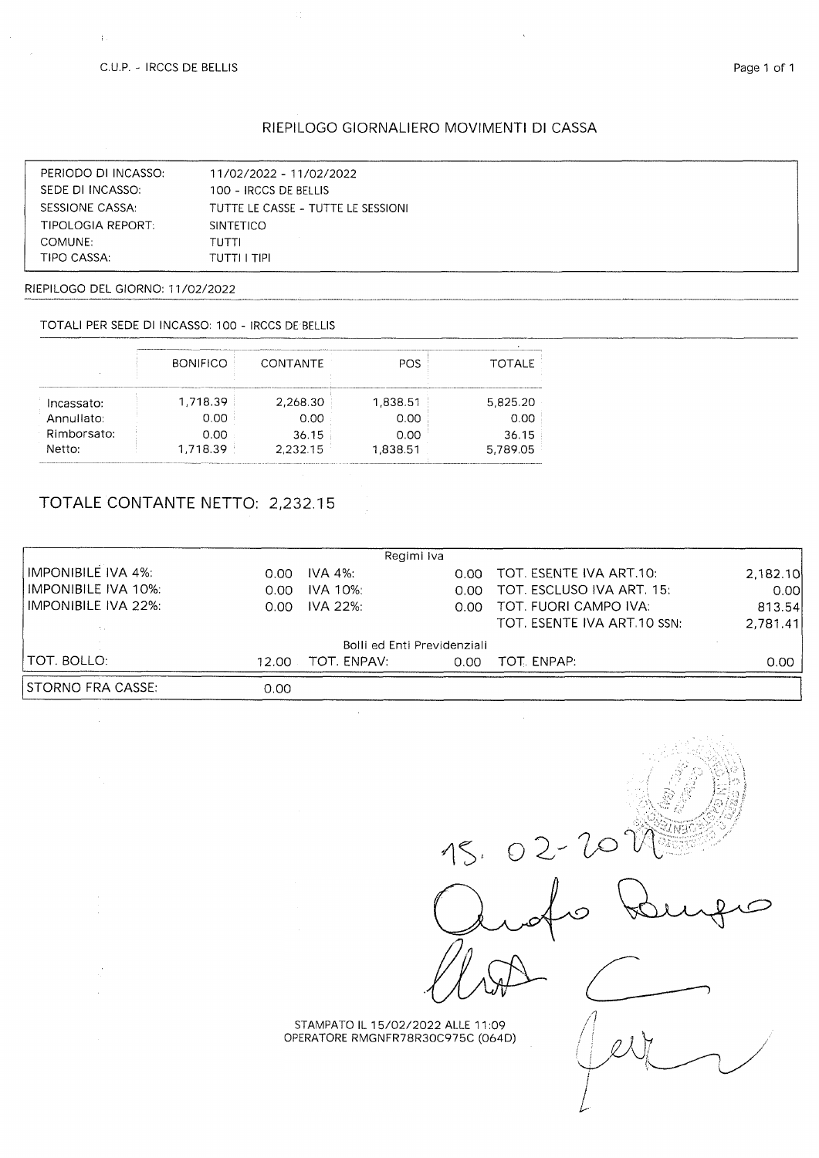$\frac{1}{3}$ 

## RIEPILOGO GIORNALIERO MOVIMENTI DI CASSA

| PERIODO DI INCASSO:      | 11/02/2022 - 11/02/2022            |
|--------------------------|------------------------------------|
| SEDE DI INCASSO:         | 100 - IRCCS DE BELLIS              |
| SESSIONE CASSA:          | TUTTE LE CASSE - TUTTE LE SESSIONI |
| <b>TIPOLOGIA REPORT:</b> | <b>SINTETICO</b>                   |
| COMUNE:                  | TUTTI                              |
| TIPO CASSA:              | TUTTI I TIPI                       |

RIEPILOGO DEL GIORNO: 11/02/2022

TOTALI PER SEDE DI INCASSO: 100 - IRCCS DE BELLIS

|             | <b>BONIFICO</b> | CONTANTE | POS.     | <b>TOTALE</b> |
|-------------|-----------------|----------|----------|---------------|
|             |                 |          |          |               |
| Incassato:  | 1.718.39        | 2,268.30 | 1,838.51 | 5,825.20      |
| Annullato:  | 0.00            | 0.00     | 0.00     | 0.00          |
| Rimborsato: | 0.00            | 36.15    | 0.00     | 36.15         |
| Netto:      | 1,718.39        | 2.232.15 | 1,838.51 | 5.789.05      |

# TOTALE CONTANTE NETTO: 2,232.15

|                     |       | Regimi Iva                  |      |                             |                   |
|---------------------|-------|-----------------------------|------|-----------------------------|-------------------|
| IMPONIBILE IVA 4%:  | n nn  | IVA 4%:                     | 0.00 | TOT. ESENTE IVA ART.10:     | 2,182.10          |
| IMPONIBILE IVA 10%: | 0.00  | <b>IVA 10%:</b>             | 0.00 | TOT. ESCLUSO IVA ART. 15.   | 0.00 <sub>l</sub> |
| IMPONIBILE IVA 22%: | 0.00  | IVA 22%:                    |      | 0.00 TOT FUORI CAMPO IVA:   | 813.54            |
|                     |       |                             |      | TOT. ESENTE IVA ART 10 SSN: | 2,781.41          |
|                     |       | Bolli ed Enti Previdenziali |      |                             |                   |
| I TOT. BOLLO:       | 12.00 | TOT. ENPAV:                 | 0.00 | TOT. ENPAP:                 | 0.00              |
| STORNO FRA CASSE:-  | 0.00  |                             |      |                             |                   |

 $\bar{\omega}$ 

 $02 - 20$ 

 $\overline{\phantom{a}}$ 

STAMPATO IL 15/02/2022 ALLE 11:09<br>OPERATORE RMGNFR78R30C975C (064D)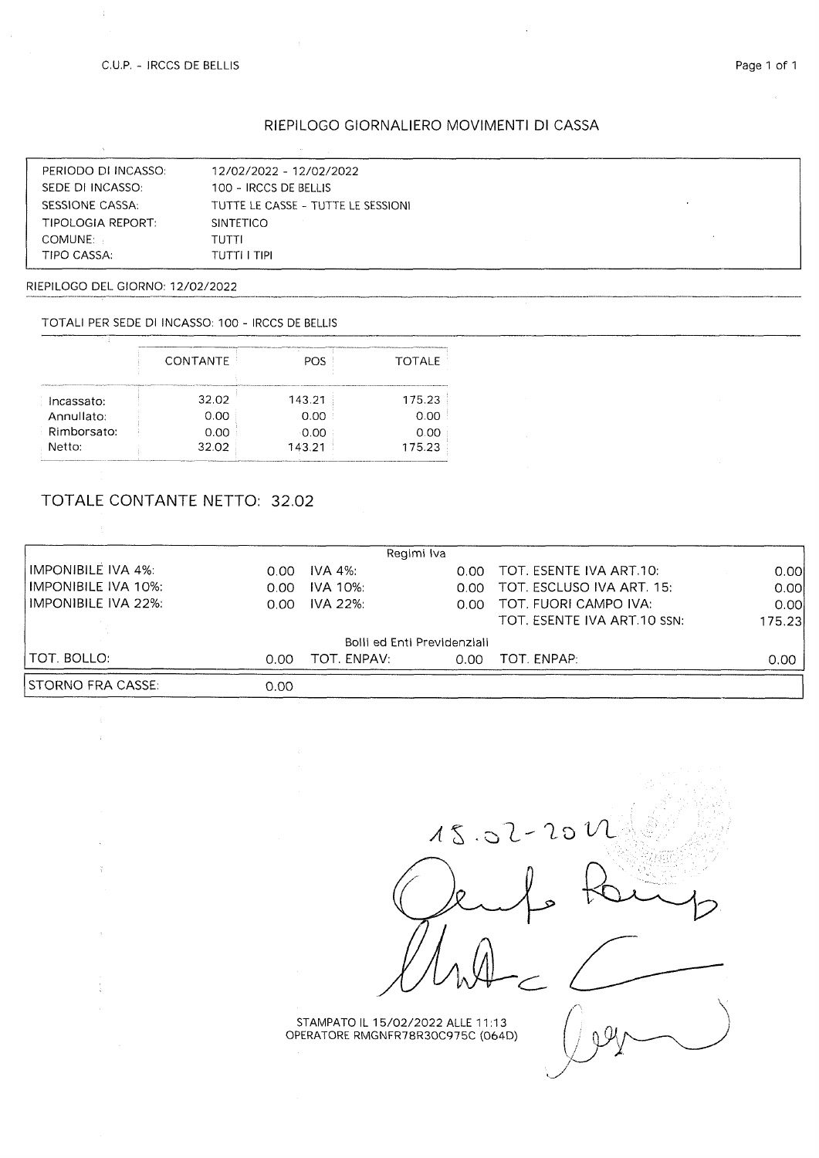$\bar{z}$ 

 $\mathcal{L}$ 

 $\sim$  $\frac{\alpha}{4}$ 

 $\frac{1}{4}$ 

### RIEPILOGO GIORNALIERO MOVIMENTI DI CASSA

| PERIODO DI INCASSO: | 12/02/2022 - 12/02/2022            |
|---------------------|------------------------------------|
| SEDE DI INCASSO:    | 100 - IRCCS DE BELLIS              |
| SESSIONE CASSA:     | TUTTE LE CASSE - TUTTE LE SESSIONI |
| TIPOLOGIA REPORT:   | <b>SINTETICO</b>                   |
| COMUNE:             | TUTTI                              |
| TIPO CASSA:         | TUTTI I TIPI                       |

RIEPILOGO DEL GIORNO: 12/02/2022

TOTALI PER SEDE DI INCASSO: 100 - IRCCS DE BELLIS

|             | CONTANTE | POS    | <b>TOTALE</b> |
|-------------|----------|--------|---------------|
| Incassato:  | 32.02    | 143.21 | 175.23        |
| Annullato:  | 0.00     | 0.00   | 0.00          |
| Rimborsato: | 0.00     | 0.00   | 0.00          |
| Netto:      | 32.02    | 143.21 | 175.23        |

## TOTALE CONTANTE NETTO: 32.02

|                     |      | Regimi Iva                  |      |                                |        |
|---------------------|------|-----------------------------|------|--------------------------------|--------|
| IMPONIBILE IVA 4%:  | 0.OO | IVA 4%:                     | റ ററ | TOT. ESENTE IVA ART.10:        | 0.00   |
| IMPONIBILE IVA 10%: | 0.00 | IVA 10%:                    |      | 0.00 TOT. ESCLUSO IVA ART. 15: | 0.00   |
| HMPONIBILE IVA 22%. | 0.00 | <b>IVA 22%:</b>             |      | 0.00 TOT. FUORI CAMPO IVA:     | 0.001  |
|                     |      |                             |      | TOT. ESENTE IVA ART 10 SSN:    | 175.23 |
|                     |      | Bolli ed Enti Previdenziali |      |                                |        |
| I TOT. BOLLO:       | 0.00 | TOT. ENPAV:                 | 0.00 | TOT. ENPAP:                    | 0.00   |
| ISTORNO FRA CASSE:  | 0.00 |                             |      |                                |        |

 $15.02 - 201$ 

STAMPATO IL 1 5/02/2022 ALLE 11:13 OPERATORE RMGNFR78R30C975C (064D)